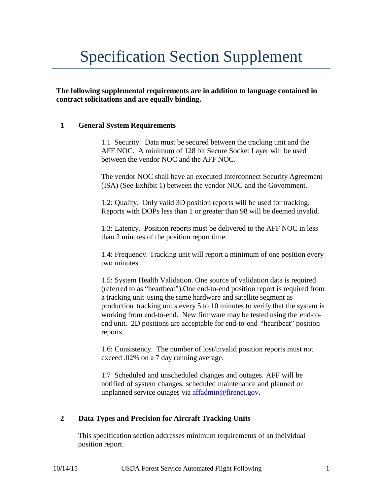# Specification Section Supplement

**The following supplemental requirements are in addition to language contained in contract solicitations and are equally binding.**

## **1 General System Requirements**

1.1 Security. Data must be secured between the tracking unit and the AFF NOC. A minimum of 128 bit Secure Socket Layer will be used between the vendor NOC and the AFF NOC.

The vendor NOC shall have an executed Interconnect Security Agreement (ISA) (See Exhibit 1) between the vendor NOC and the Government.

1.2: Quality. Only valid 3D position reports will be used for tracking. Reports with DOPs less than 1 or greater than 98 will be deemed invalid.

1.3: Latency. Position reports must be delivered to the AFF NOC in less than 2 minutes of the position report time.

1.4: Frequency. Tracking unit will report a minimum of one position every two minutes.

1.5: System Health Validation. One source of validation data is required (referred to as "heartbeat").One end-to-end position report is required from a tracking unit using the same hardware and satellite segment as production tracking units every 5 to 10 minutes to verify that the system is working from end-to-end. New firmware may be tested using the end-toend unit. 2D positions are acceptable for end-to-end "heartbeat" position reports.

1.6: Consistency. The number of lost/invalid position reports must not exceed .02% on a 7 day running average.

1.7 Scheduled and unscheduled changes and outages. AFF will be notified of system changes, scheduled maintenance and planned or unplanned service outages via [affadmin@firenet.gov.](mailto:affadmin@firenet.gov)

## **2 Data Types and Precision for Aircraft Tracking Units**

This specification section addresses minimum requirements of an individual position report.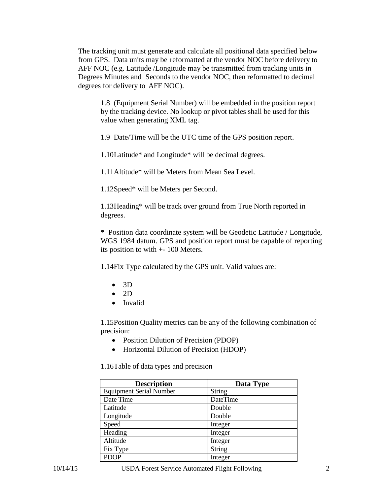The tracking unit must generate and calculate all positional data specified below from GPS. Data units may be reformatted at the vendor NOC before delivery to AFF NOC (e.g. Latitude /Longitude may be transmitted from tracking units in Degrees Minutes and Seconds to the vendor NOC, then reformatted to decimal degrees for delivery to AFF NOC).

1.8 (Equipment Serial Number) will be embedded in the position report by the tracking device. No lookup or pivot tables shall be used for this value when generating XML tag.

1.9 Date/Time will be the UTC time of the GPS position report.

1.10Latitude\* and Longitude\* will be decimal degrees.

1.11Altitude\* will be Meters from Mean Sea Level.

1.12Speed\* will be Meters per Second.

1.13Heading\* will be track over ground from True North reported in degrees.

\* Position data coordinate system will be Geodetic Latitude / Longitude, WGS 1984 datum. GPS and position report must be capable of reporting its position to with +- 100 Meters.

1.14Fix Type calculated by the GPS unit. Valid values are:

- $\bullet$  3D
- $\bullet$  2D
- Invalid

1.15Position Quality metrics can be any of the following combination of precision:

- Position Dilution of Precision (PDOP)
- Horizontal Dilution of Precision (HDOP)

1.16Table of data types and precision

| <b>Description</b>             | Data Type |
|--------------------------------|-----------|
| <b>Equipment Serial Number</b> | String    |
| Date Time                      | DateTime  |
| Latitude                       | Double    |
| Longitude                      | Double    |
| Speed                          | Integer   |
| Heading                        | Integer   |
| Altitude                       | Integer   |
| Fix Type                       | String    |
| <b>PDOP</b>                    | Integer   |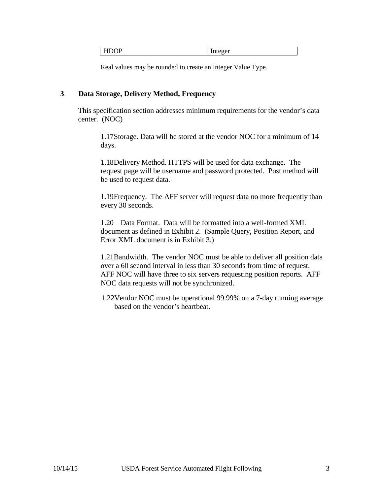| ---<br>$  -$ | ы<br>. .<br>⊣<br><br>◡▴ | $\mathbf{r}$ |
|--------------|-------------------------|--------------|
|--------------|-------------------------|--------------|

Real values may be rounded to create an Integer Value Type.

## **3 Data Storage, Delivery Method, Frequency**

This specification section addresses minimum requirements for the vendor's data center. (NOC)

1.17Storage. Data will be stored at the vendor NOC for a minimum of 14 days.

1.18Delivery Method. HTTPS will be used for data exchange. The request page will be username and password protected. Post method will be used to request data.

1.19Frequency. The AFF server will request data no more frequently than every 30 seconds.

1.20 Data Format. Data will be formatted into a well-formed XML document as defined in Exhibit 2. (Sample Query, Position Report, and Error XML document is in Exhibit 3.)

1.21Bandwidth. The vendor NOC must be able to deliver all position data over a 60 second interval in less than 30 seconds from time of request. AFF NOC will have three to six servers requesting position reports. AFF NOC data requests will not be synchronized.

1.22Vendor NOC must be operational 99.99% on a 7-day running average based on the vendor's heartbeat.